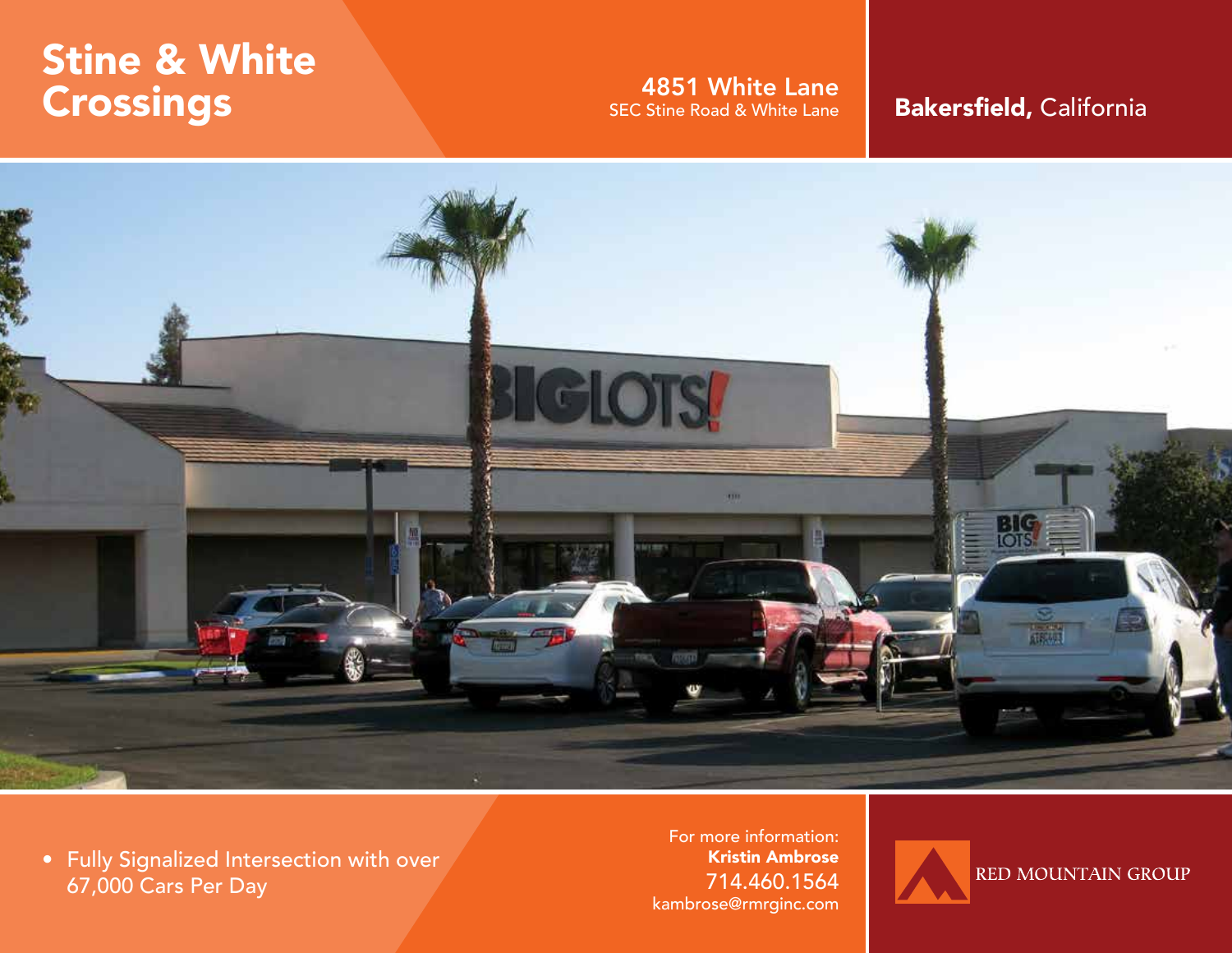# Stine & White **Crossings**

# **4851 White Lane**<br>SEC Stine Road & White Lane

## Bakersfield, California



• Fully Signalized Intersection with over 67,000 Cars Per Day

For more information: Kristin Ambrose 714.460.1564 kambrose@rmrginc.com

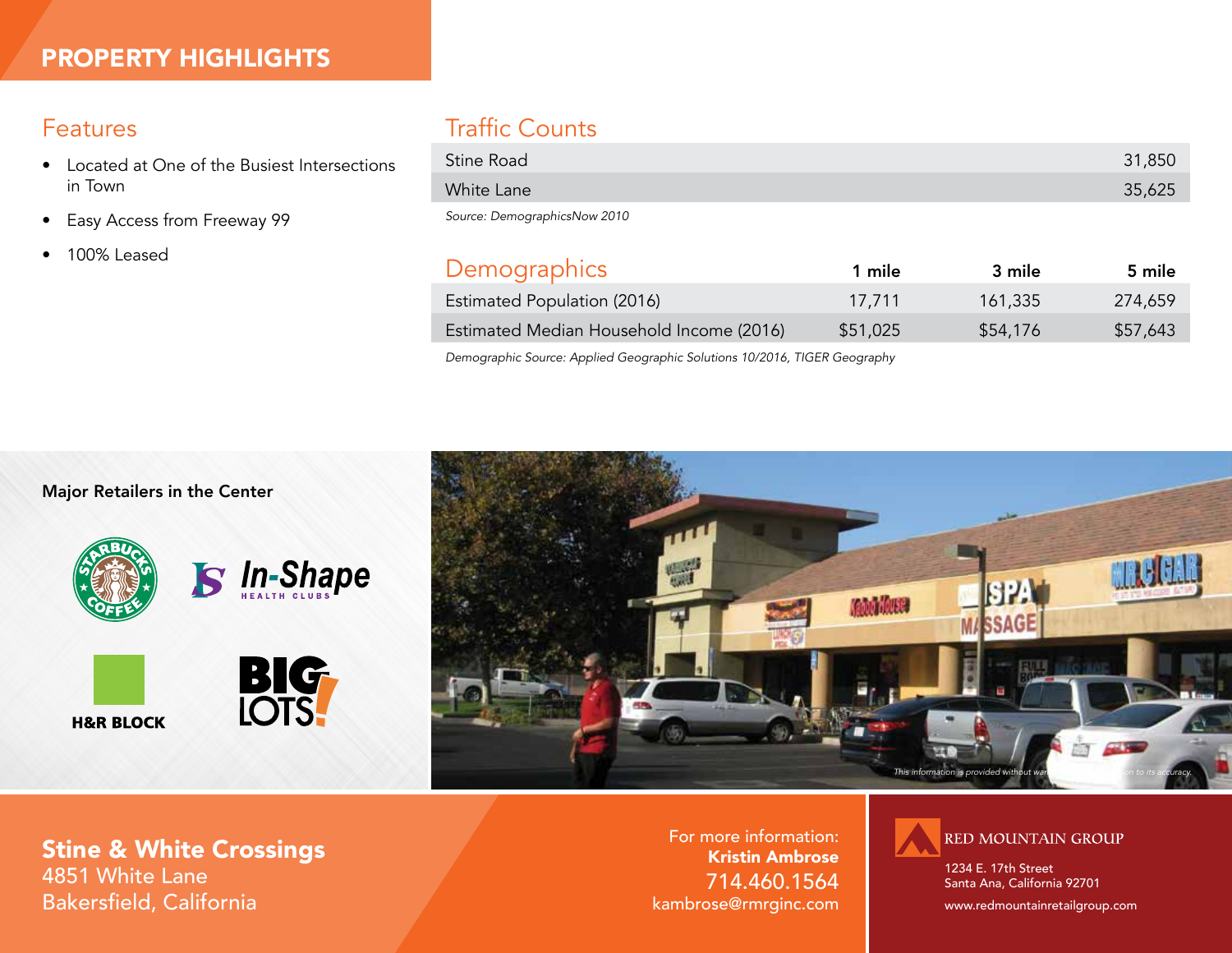### Features

- Located at One of the Busiest Intersections in Town
- Easy Access from Freeway 99
- 100% Leased

## Traffic Counts

| Stine Road | 31,850 |
|------------|--------|
| White Lane | 35,625 |
|            |        |

*Source: DemographicsNow 2010*

| Demographics                             | 1 mile   | 3 mile   | 5 mile   |
|------------------------------------------|----------|----------|----------|
| Estimated Population (2016)              | 17.711   | 161,335  | 274,659  |
| Estimated Median Household Income (2016) | \$51,025 | \$54,176 | \$57,643 |
|                                          |          |          |          |

*Demographic Source: Applied Geographic Solutions 10/2016, TIGER Geography*

Major Retailers in the Center





Stine & White Crossings 4851 White Lane Bakersfield, California

For more information: Kristin Ambrose 714.460.1564 kambrose@rmrginc.com



1234 E. 17th Street Santa Ana, California 92701

www.redmountainretailgroup.com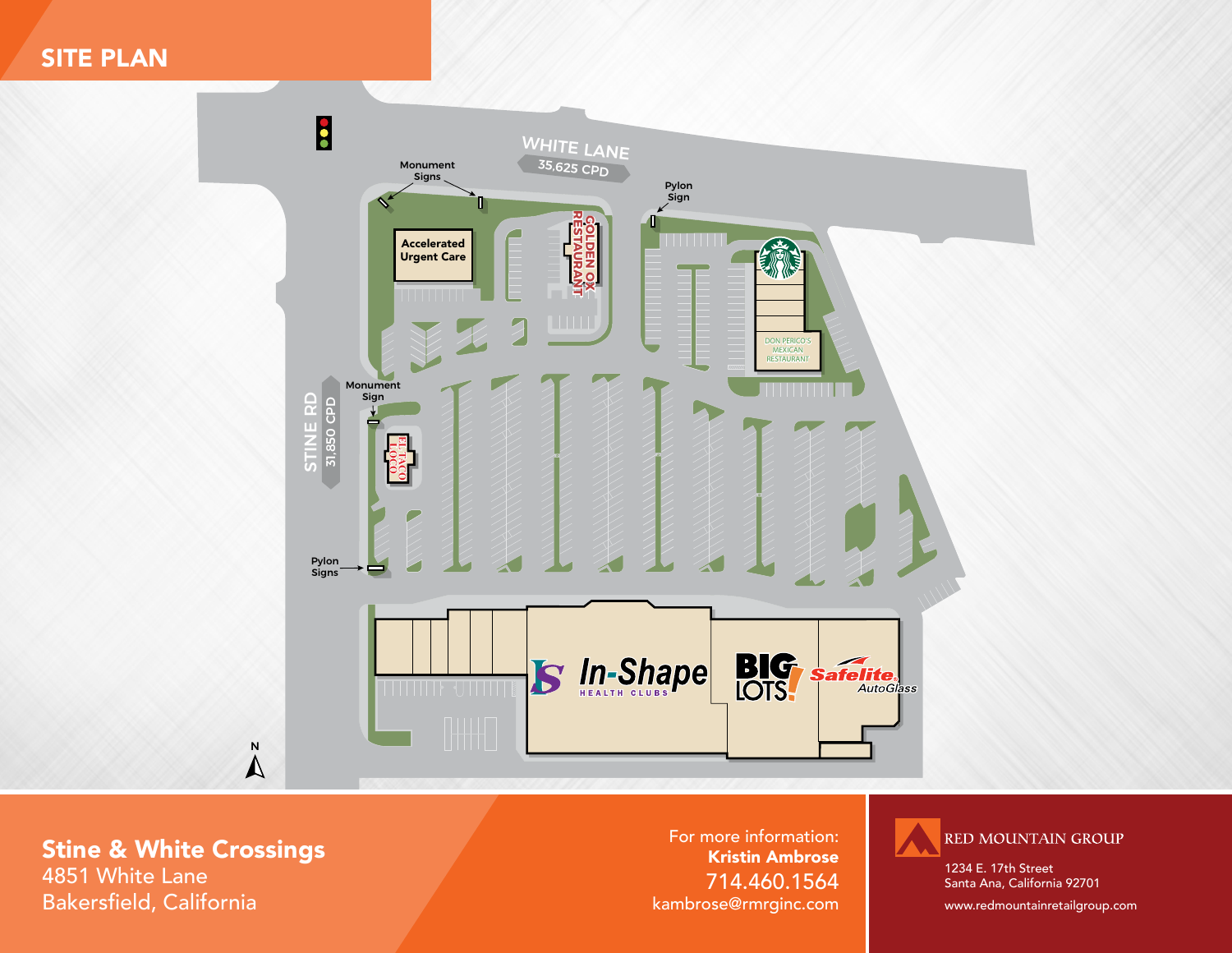## SITE PLAN



Stine & White Crossings 4851 White Lane

Bakersfield, California

For more information: Kristin Ambrose 714.460.1564 kambrose@rmrginc.com



1234 E. 17th Street Santa Ana, California 92701

www.redmountainretailgroup.com